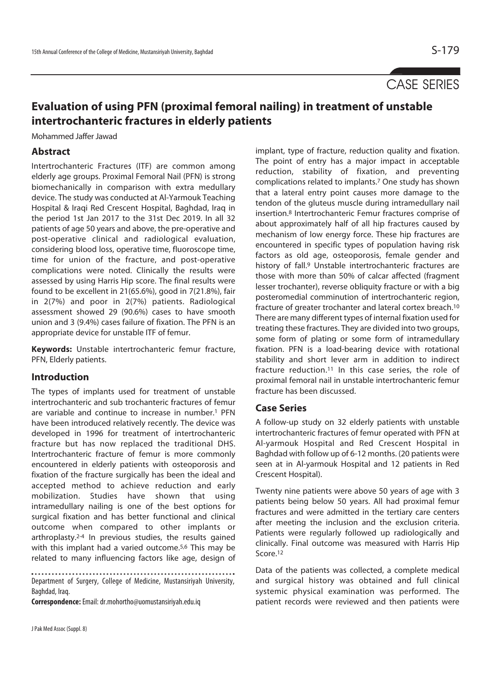# CASE SERIES

## **Evaluation of using PFN (proximal femoral nailing) in treatment of unstable intertrochanteric fractures in elderly patients**

Mohammed Jaffer Jawad

### **Abstract**

Intertrochanteric Fractures (ITF) are common among elderly age groups. Proximal Femoral Nail (PFN) is strong biomechanically in comparison with extra medullary device. The study was conducted at Al-Yarmouk Teaching Hospital & Iraqi Red Crescent Hospital, Baghdad, Iraq in the period 1st Jan 2017 to the 31st Dec 2019. In all 32 patients of age 50 years and above, the pre-operative and post-operative clinical and radiological evaluation, considering blood loss, operative time, fluoroscope time, time for union of the fracture, and post-operative complications were noted. Clinically the results were assessed by using Harris Hip score. The final results were found to be excellent in 21(65.6%), good in 7(21.8%), fair in 2(7%) and poor in 2(7%) patients. Radiological assessment showed 29 (90.6%) cases to have smooth union and 3 (9.4%) cases failure of fixation. The PFN is an appropriate device for unstable ITF of femur.

**Keywords:** Unstable intertrochanteric femur fracture, PFN, Elderly patients.

### **Introduction**

The types of implants used for treatment of unstable intertrochanteric and sub trochanteric fractures of femur are variable and continue to increase in number.<sup>1</sup> PFN have been introduced relatively recently. The device was developed in 1996 for treatment of intertrochanteric fracture but has now replaced the traditional DHS. Intertrochanteric fracture of femur is more commonly encountered in elderly patients with osteoporosis and fixation of the fracture surgically has been the ideal and accepted method to achieve reduction and early mobilization. Studies have shown that using intramedullary nailing is one of the best options for surgical fixation and has better functional and clinical outcome when compared to other implants or arthroplasty.2-4 In previous studies, the results gained with this implant had a varied outcome.<sup>5,6</sup> This may be related to many influencing factors like age, design of

. . . . . . . . . . . . . . . . . . . Department of Surgery, College of Medicine, Mustansiriyah University, Baghdad, Iraq.

**Correspondence:** Email: dr.mohortho@uomustansiriyah.edu.iq

implant, type of fracture, reduction quality and fixation. The point of entry has a major impact in acceptable reduction, stability of fixation, and preventing complications related to implants.7 One study has shown that a lateral entry point causes more damage to the tendon of the gluteus muscle during intramedullary nail insertion.8 Intertrochanteric Femur fractures comprise of about approximately half of all hip fractures caused by mechanism of low energy force. These hip fractures are encountered in specific types of population having risk factors as old age, osteoporosis, female gender and history of fall.9 Unstable intertrochanteric fractures are those with more than 50% of calcar affected (fragment lesser trochanter), reverse obliquity fracture or with a big posteromedial comminution of intertrochanteric region, fracture of greater trochanter and lateral cortex breach.10 There are many different types of internal fixation used for treating these fractures. They are divided into two groups, some form of plating or some form of intramedullary fixation. PFN is a load-bearing device with rotational stability and short lever arm in addition to indirect fracture reduction.11 In this case series, the role of proximal femoral nail in unstable intertrochanteric femur fracture has been discussed.

#### **Case Series**

A follow-up study on 32 elderly patients with unstable intertrochanteric fractures of femur operated with PFN at Al-yarmouk Hospital and Red Crescent Hospital in Baghdad with follow up of 6-12 months. (20 patients were seen at in Al-yarmouk Hospital and 12 patients in Red Crescent Hospital).

Twenty nine patients were above 50 years of age with 3 patients being below 50 years. All had proximal femur fractures and were admitted in the tertiary care centers after meeting the inclusion and the exclusion criteria. Patients were regularly followed up radiologically and clinically. Final outcome was measured with Harris Hip Score.<sup>12</sup>

Data of the patients was collected, a complete medical and surgical history was obtained and full clinical systemic physical examination was performed. The patient records were reviewed and then patients were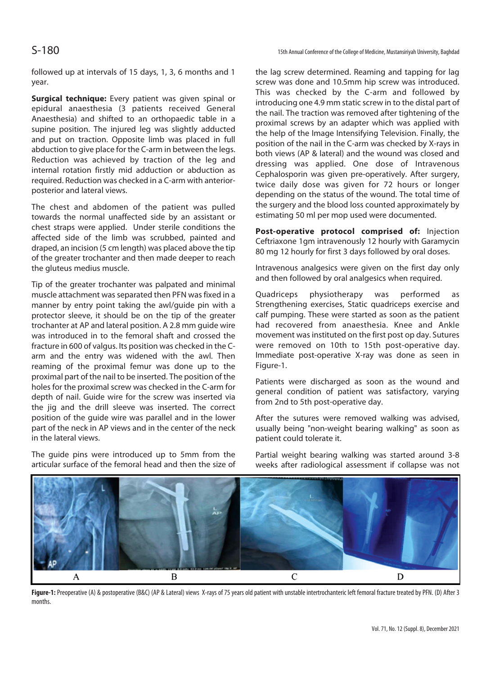S-180

followed up at intervals of 15 days, 1, 3, 6 months and 1 year.

**Surgical technique:** Every patient was given spinal or epidural anaesthesia (3 patients received General Anaesthesia) and shifted to an orthopaedic table in a supine position. The injured leg was slightly adducted and put on traction. Opposite limb was placed in full abduction to give place for the C-arm in between the legs. Reduction was achieved by traction of the leg and internal rotation firstly mid adduction or abduction as required. Reduction was checked in a C-arm with anteriorposterior and lateral views.

The chest and abdomen of the patient was pulled towards the normal unaffected side by an assistant or chest straps were applied. Under sterile conditions the affected side of the limb was scrubbed, painted and draped, an incision (5 cm length) was placed above the tip of the greater trochanter and then made deeper to reach the gluteus medius muscle.

Tip of the greater trochanter was palpated and minimal muscle attachment was separated then PFN was fixed in a manner by entry point taking the awl/guide pin with a protector sleeve, it should be on the tip of the greater trochanter at AP and lateral position. A 2.8 mm guide wire was introduced in to the femoral shaft and crossed the fracture in 600 of valgus. Its position was checked in the Carm and the entry was widened with the awl. Then reaming of the proximal femur was done up to the proximal part of the nail to be inserted. The position of the holes for the proximal screw was checked in the C-arm for depth of nail. Guide wire for the screw was inserted via the jig and the drill sleeve was inserted. The correct position of the guide wire was parallel and in the lower part of the neck in AP views and in the center of the neck in the lateral views.

The guide pins were introduced up to 5mm from the articular surface of the femoral head and then the size of

the lag screw determined. Reaming and tapping for lag screw was done and 10.5mm hip screw was introduced. This was checked by the C-arm and followed by introducing one 4.9 mm static screw in to the distal part of the nail. The traction was removed after tightening of the proximal screws by an adapter which was applied with the help of the Image Intensifying Television. Finally, the position of the nail in the C-arm was checked by X-rays in both views (AP & lateral) and the wound was closed and dressing was applied. One dose of Intravenous Cephalosporin was given pre-operatively. After surgery, twice daily dose was given for 72 hours or longer depending on the status of the wound. The total time of the surgery and the blood loss counted approximately by estimating 50 ml per mop used were documented.

**Post-operative protocol comprised of:** Injection Ceftriaxone 1gm intravenously 12 hourly with Garamycin 80 mg 12 hourly for first 3 days followed by oral doses.

Intravenous analgesics were given on the first day only and then followed by oral analgesics when required.

Quadriceps physiotherapy was performed as Strengthening exercises, Static quadriceps exercise and calf pumping. These were started as soon as the patient had recovered from anaesthesia. Knee and Ankle movement was instituted on the first post op day. Sutures were removed on 10th to 15th post-operative day. Immediate post-operative X-ray was done as seen in Figure-1.

Patients were discharged as soon as the wound and general condition of patient was satisfactory, varying from 2nd to 5th post-operative day.

After the sutures were removed walking was advised, usually being "non-weight bearing walking" as soon as patient could tolerate it.

Partial weight bearing walking was started around 3-8 weeks after radiological assessment if collapse was not



Figure-1: Preoperative (A) & postoperative (B&C) (AP & Lateral) views X-rays of 75 years old patient with unstable intertrochanteric left femoral fracture treated by PFN. (D) After 3 months.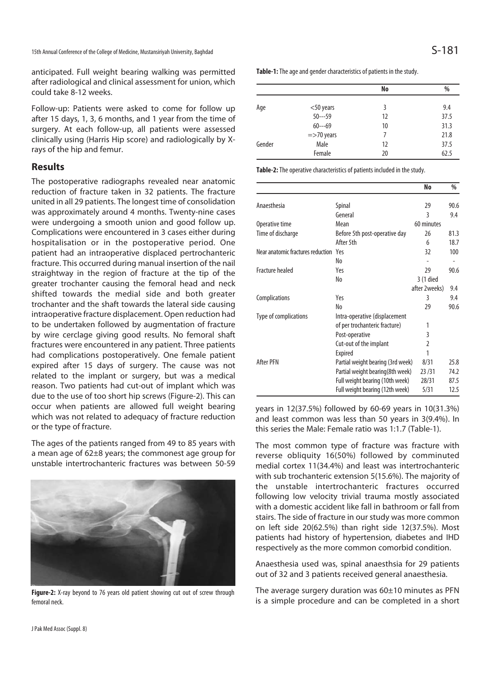anticipated. Full weight bearing walking was permitted after radiological and clinical assessment for union, which could take 8-12 weeks.

Follow-up: Patients were asked to come for follow up after 15 days, 1, 3, 6 months, and 1 year from the time of surgery. At each follow-up, all patients were assessed clinically using (Harris Hip score) and radiologically by Xrays of the hip and femur.

#### **Results**

The postoperative radiographs revealed near anatomic reduction of fracture taken in 32 patients. The fracture united in all 29 patients. The longest time of consolidation was approximately around 4 months. Twenty-nine cases were undergoing a smooth union and good follow up. Complications were encountered in 3 cases either during hospitalisation or in the postoperative period. One patient had an intraoperative displaced pertrochanteric fracture. This occurred during manual insertion of the nail straightway in the region of fracture at the tip of the greater trochanter causing the femoral head and neck shifted towards the medial side and both greater trochanter and the shaft towards the lateral side causing intraoperative fracture displacement. Open reduction had to be undertaken followed by augmentation of fracture by wire cerclage giving good results. No femoral shaft fractures were encountered in any patient. Three patients had complications postoperatively. One female patient expired after 15 days of surgery. The cause was not related to the implant or surgery, but was a medical reason. Two patients had cut-out of implant which was due to the use of too short hip screws (Figure-2). This can occur when patients are allowed full weight bearing which was not related to adequacy of fracture reduction or the type of fracture.

The ages of the patients ranged from 49 to 85 years with a mean age of 62±8 years; the commonest age group for unstable intertrochanteric fractures was between 50-59



Figure-2: X-ray beyond to 76 years old patient showing cut out of screw through femoral neck.

|        |               | No | %    |
|--------|---------------|----|------|
| Age    | $<$ 50 years  | 3  | 9.4  |
|        | $50--59$      | 12 | 37.5 |
|        | $60--69$      | 10 | 31.3 |
|        | $=$ >70 years | 7  | 21.8 |
| Gender | Male          | 12 | 37.5 |
|        | Female        | 20 | 62.5 |

**Table-2:** The operative characteristics of patients included in the study.

|                                   |                                   | No             | %    |
|-----------------------------------|-----------------------------------|----------------|------|
| Anaesthesia                       | Spinal                            | 29             | 90.6 |
|                                   | General                           | 3              | 9.4  |
| Operative time                    | Mean                              | 60 minutes     |      |
| Time of discharge                 | Before 5th post-operative day     | 26             | 81.3 |
|                                   | After 5th                         | 6              | 18.7 |
| Near anatomic fractures reduction | Yes                               | 32             | 100  |
|                                   | No                                |                |      |
| <b>Fracture healed</b>            | Yeς                               | 29             | 90.6 |
|                                   | No                                | 3 (1 died      |      |
|                                   |                                   | after 2weeks)  | 9.4  |
| <b>Complications</b>              | Yes                               | 3              | 9.4  |
|                                   | No                                | 29             | 90.6 |
| Type of complications             | Intra-operative (displacement     |                |      |
|                                   | of per trochanteric fracture)     | 1              |      |
|                                   | Post-operative                    | 3              |      |
|                                   | Cut-out of the implant            | $\mathfrak{p}$ |      |
|                                   | <b>Expired</b>                    | 1              |      |
| After PFN                         | Partial weight bearing (3rd week) | 8/31           | 25.8 |
|                                   | Partial weight bearing (8th week) | 23/31          | 74.2 |
|                                   | Full weight bearing (10th week)   | 28/31          | 87.5 |
|                                   | Full weight bearing (12th week)   | 5/31           | 12.5 |

years in 12(37.5%) followed by 60-69 years in 10(31.3%) and least common was less than 50 years in 3(9.4%). In this series the Male: Female ratio was 1:1.7 (Table-1).

The most common type of fracture was fracture with reverse obliquity 16(50%) followed by comminuted medial cortex 11(34.4%) and least was intertrochanteric with sub trochanteric extension 5(15.6%). The majority of the unstable intertrochanteric fractures occurred following low velocity trivial trauma mostly associated with a domestic accident like fall in bathroom or fall from stairs. The side of fracture in our study was more common on left side 20(62.5%) than right side 12(37.5%). Most patients had history of hypertension, diabetes and IHD respectively as the more common comorbid condition.

Anaesthesia used was, spinal anaesthsia for 29 patients out of 32 and 3 patients received general anaesthesia.

The average surgery duration was 60±10 minutes as PFN is a simple procedure and can be completed in a short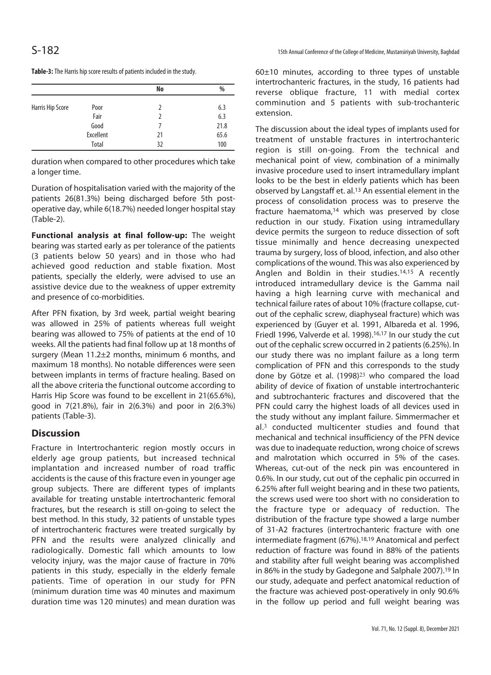|                  |           | No | %    |
|------------------|-----------|----|------|
| Harris Hip Score | Poor      | 7  | 6.3  |
|                  | Fair      | 7  | 6.3  |
|                  | Good      |    | 21.8 |
|                  | Excellent | 21 | 65.6 |
|                  | Total     | 32 | 100  |

**Table-3:** The Harris hip score results of patients included in the study.

duration when compared to other procedures which take a longer time.

Duration of hospitalisation varied with the majority of the patients 26(81.3%) being discharged before 5th postoperative day, while 6(18.7%) needed longer hospital stay (Table-2).

**Functional analysis at final follow-up:** The weight bearing was started early as per tolerance of the patients (3 patients below 50 years) and in those who had achieved good reduction and stable fixation. Most patients, specially the elderly, were advised to use an assistive device due to the weakness of upper extremity and presence of co-morbidities.

After PFN fixation, by 3rd week, partial weight bearing was allowed in 25% of patients whereas full weight bearing was allowed to 75% of patients at the end of 10 weeks. All the patients had final follow up at 18 months of surgery (Mean 11.2±2 months, minimum 6 months, and maximum 18 months). No notable differences were seen between implants in terms of fracture healing. Based on all the above criteria the functional outcome according to Harris Hip Score was found to be excellent in 21(65.6%), good in 7(21.8%), fair in 2(6.3%) and poor in 2(6.3%) patients (Table-3).

### **Discussion**

Fracture in Intertrochanteric region mostly occurs in elderly age group patients, but increased technical implantation and increased number of road traffic accidents is the cause of this fracture even in younger age group subjects. There are different types of implants available for treating unstable intertrochanteric femoral fractures, but the research is still on-going to select the best method. In this study, 32 patients of unstable types of intertrochanteric fractures were treated surgically by PFN and the results were analyzed clinically and radiologically. Domestic fall which amounts to low velocity injury, was the major cause of fracture in 70% patients in this study, especially in the elderly female patients. Time of operation in our study for PFN (minimum duration time was 40 minutes and maximum duration time was 120 minutes) and mean duration was

60±10 minutes, according to three types of unstable intertrochanteric fractures, in the study, 16 patients had reverse oblique fracture, 11 with medial cortex comminution and 5 patients with sub-trochanteric extension.

The discussion about the ideal types of implants used for treatment of unstable fractures in intertrochanteric region is still on-going. From the technical and mechanical point of view, combination of a minimally invasive procedure used to insert intramedullary implant looks to be the best in elderly patients which has been observed by Langstaff et. al.13 An essential element in the process of consolidation process was to preserve the fracture haematoma,<sup>14</sup> which was preserved by close reduction in our study. Fixation using intramedullary device permits the surgeon to reduce dissection of soft tissue minimally and hence decreasing unexpected trauma by surgery, loss of blood, infection, and also other complications of the wound. This was also experienced by Anglen and Boldin in their studies.14,15 A recently introduced intramedullary device is the Gamma nail having a high learning curve with mechanical and technical failure rates of about 10% (fracture collapse, cutout of the cephalic screw, diaphyseal fracture) which was experienced by (Guyer et al. 1991, Albareda et al. 1996, Friedl 1996, Valverde et al. 1998).16,17 In our study the cut out of the cephalic screw occurred in 2 patients (6.25%). In our study there was no implant failure as a long term complication of PFN and this corresponds to the study done by Götze et al. (1998)<sup>23</sup> who compared the load ability of device of fixation of unstable intertrochanteric and subtrochanteric fractures and discovered that the PFN could carry the highest loads of all devices used in the study without any implant failure. Simmermacher et al.<sup>3</sup> conducted multicenter studies and found that mechanical and technical insufficiency of the PFN device was due to inadequate reduction, wrong choice of screws and malrotation which occurred in 5% of the cases. Whereas, cut-out of the neck pin was encountered in 0.6%. In our study, cut out of the cephalic pin occurred in 6.25% after full weight bearing and in these two patients, the screws used were too short with no consideration to the fracture type or adequacy of reduction. The distribution of the fracture type showed a large number of 31-A2 fractures (intertrochanteric fracture with one intermediate fragment (67%).18,19 Anatomical and perfect reduction of fracture was found in 88% of the patients and stability after full weight bearing was accomplished in 86% in the study by Gadegone and Salphale 2007).19 In our study, adequate and perfect anatomical reduction of the fracture was achieved post-operatively in only 90.6% in the follow up period and full weight bearing was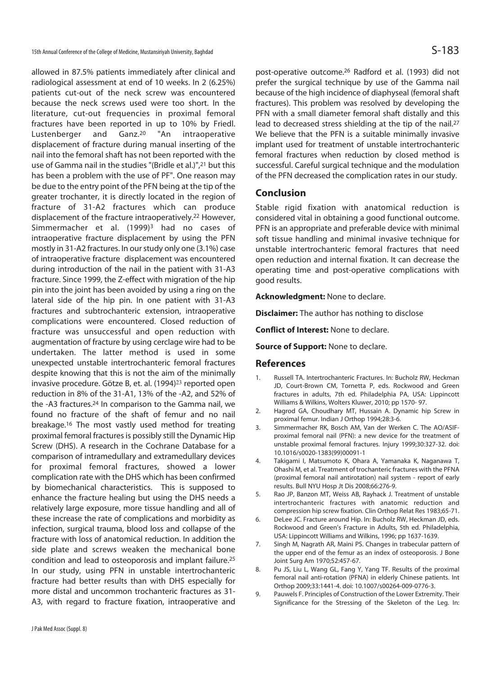allowed in 87.5% patients immediately after clinical and radiological assessment at end of 10 weeks. In 2 (6.25%) patients cut-out of the neck screw was encountered because the neck screws used were too short. In the literature, cut-out frequencies in proximal femoral fractures have been reported in up to 10% by Friedl. Lustenberger and Ganz.20 "An intraoperative displacement of fracture during manual inserting of the nail into the femoral shaft has not been reported with the use of Gamma nail in the studies "(Bridle et al.)",21 but this has been a problem with the use of PF". One reason may be due to the entry point of the PFN being at the tip of the greater trochanter, it is directly located in the region of fracture of 31-A2 fractures which can produce displacement of the fracture intraoperatively.22 However, Simmermacher et al. (1999)<sup>3</sup> had no cases of intraoperative fracture displacement by using the PFN mostly in 31-A2 fractures. In our study only one (3.1%) case of intraoperative fracture displacement was encountered during introduction of the nail in the patient with 31-A3 fracture. Since 1999, the Z-effect with migration of the hip pin into the joint has been avoided by using a ring on the lateral side of the hip pin. In one patient with 31-A3 fractures and subtrochanteric extension, intraoperative complications were encountered. Closed reduction of fracture was unsuccessful and open reduction with augmentation of fracture by using cerclage wire had to be undertaken. The latter method is used in some unexpected unstable intertrochanteric femoral fractures despite knowing that this is not the aim of the minimally invasive procedure. Götze B, et. al. (1994)<sup>23</sup> reported open reduction in 8% of the 31-A1, 13% of the -A2, and 52% of the -A3 fractures.24 In comparison to the Gamma nail, we found no fracture of the shaft of femur and no nail breakage.16 The most vastly used method for treating proximal femoral fractures is possibly still the Dynamic Hip Screw (DHS). A research in the Cochrane Database for a comparison of intramedullary and extramedullary devices for proximal femoral fractures, showed a lower complication rate with the DHS which has been confirmed by biomechanical characteristics. This is supposed to enhance the fracture healing but using the DHS needs a relatively large exposure, more tissue handling and all of these increase the rate of complications and morbidity as infection, surgical trauma, blood loss and collapse of the fracture with loss of anatomical reduction. In addition the side plate and screws weaken the mechanical bone condition and lead to osteoporosis and implant failure.25 In our study, using PFN in unstable intertrochanteric fracture had better results than with DHS especially for more distal and uncommon trochanteric fractures as 31- A3, with regard to fracture fixation, intraoperative and

post-operative outcome.26 Radford et al. (1993) did not prefer the surgical technique by use of the Gamma nail because of the high incidence of diaphyseal (femoral shaft fractures). This problem was resolved by developing the PFN with a small diameter femoral shaft distally and this lead to decreased stress shielding at the tip of the nail.27 We believe that the PFN is a suitable minimally invasive implant used for treatment of unstable intertrochanteric femoral fractures when reduction by closed method is successful. Careful surgical technique and the modulation of the PFN decreased the complication rates in our study.

#### **Conclusion**

Stable rigid fixation with anatomical reduction is considered vital in obtaining a good functional outcome. PFN is an appropriate and preferable device with minimal soft tissue handling and minimal invasive technique for unstable intertrochanteric femoral fractures that need open reduction and internal fixation. It can decrease the operating time and post-operative complications with good results.

**Acknowledgment:** None to declare.

**Disclaimer:** The author has nothing to disclose

**Conflict of Interest:** None to declare.

**Source of Support: None to declare.** 

#### **References**

- 1. Russell TA. Intertrochanteric Fractures. In: Bucholz RW, Heckman JD, Court-Brown CM, Tornetta P, eds. Rockwood and Green fractures in adults, 7th ed. Philadelphia PA, USA: Lippincott Williams & Wilkins, Wolters Kluwer, 2010; pp 1570- 97.
- 2. Hagrod GA, Choudhary MT, Hussain A. Dynamic hip Screw in proximal femur. Indian J Orthop 1994;28:3-6.
- 3. Simmermacher RK, Bosch AM, Van der Werken C. The AO/ASIFproximal femoral nail (PFN): a new device for the treatment of unstable proximal femoral fractures. Injury 1999;30:327-32. doi: 10.1016/s0020-1383(99)00091-1
- 4. Takigami I, Matsumoto K, Ohara A, Yamanaka K, Naganawa T, Ohashi M, et al. Treatment of trochanteric fractures with the PFNA (proximal femoral nail antirotation) nail system - report of early results. Bull NYU Hosp Jt Dis 2008;66:276-9.
- 5. Rao JP, Banzon MT, Weiss AB, Rayhack J. Treatment of unstable intertrochanteric fractures with anatomic reduction and compression hip screw fixation. Clin Orthop Relat Res 1983;65-71.
- 6. DeLee JC. Fracture around Hip. In: Bucholz RW, Heckman JD, eds. Rockwood and Green's Fracture in Adults, 5th ed. Philadelphia, USA: Lippincott Williams and Wilkins, 1996; pp 1637-1639.
- 7. Singh M, Nagrath AR, Maini PS. Changes in trabecular pattern of the upper end of the femur as an index of osteoporosis. J Bone Joint Surg Am 1970;52:457-67.
- 8. Pu JS, Liu L, Wang GL, Fang Y, Yang TF. Results of the proximal femoral nail anti-rotation (PFNA) in elderly Chinese patients. Int Orthop 2009;33:1441-4. doi: 10.1007/s00264-009-0776-3.
- 9. Pauwels F. Principles of Construction of the Lower Extremity. Their Significance for the Stressing of the Skeleton of the Leg. In: